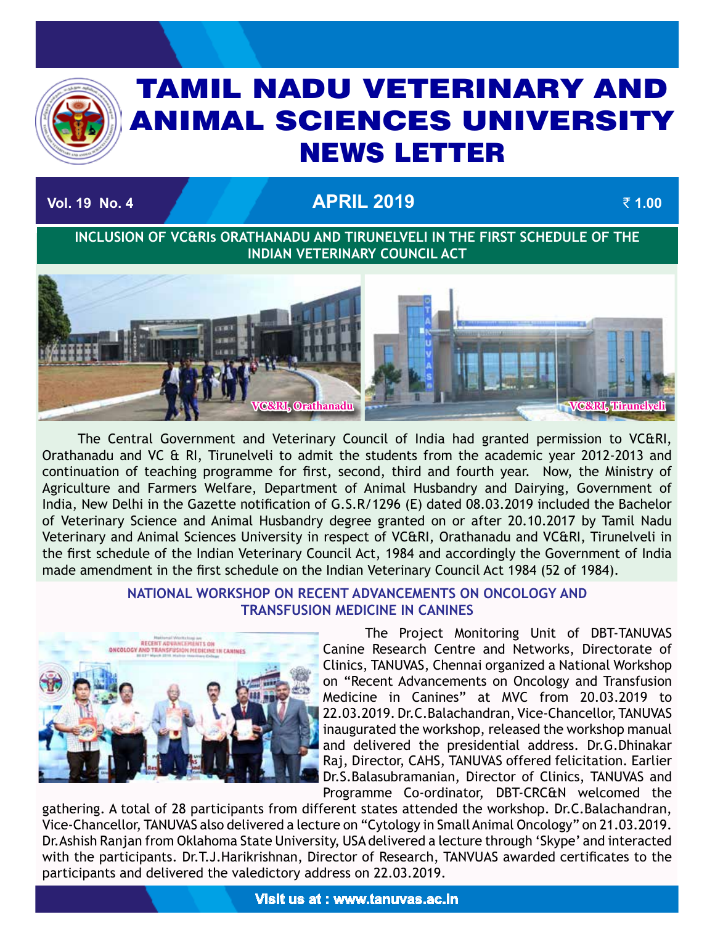# TAMIL NADU VETERINARY AND ANIMAL SCIENCES UNIVERSITY News Letter

# **Vol. 19 No. 4 April 2019** ` **1.00**

TAMIL NADU VETERINARY AND ANIMAL SCIENCES UNIVERSITY OF A SECOND AND ANIMAL SCIENCES UNIVERSITY OF A SECOND AN

**INCLUSION OF VC&RIs ORATHANADU AND TIRUNELVELI IN THE FIRST SCHEDULE OF THE INDIAN VETERINARY COUNCIL ACT**



The Central Government and Veterinary Council of India had granted permission to VC&RI, Orathanadu and VC & RI, Tirunelveli to admit the students from the academic year 2012-2013 and continuation of teaching programme for first, second, third and fourth year. Now, the Ministry of Agriculture and Farmers Welfare, Department of Animal Husbandry and Dairying, Government of India, New Delhi in the Gazette notification of G.S.R/1296 (E) dated 08.03.2019 included the Bachelor of Veterinary Science and Animal Husbandry degree granted on or after 20.10.2017 by Tamil Nadu Veterinary and Animal Sciences University in respect of VC&RI, Orathanadu and VC&RI, Tirunelveli in the first schedule of the Indian Veterinary Council Act, 1984 and accordingly the Government of India made amendment in the first schedule on the Indian Veterinary Council Act 1984 (52 of 1984).

#### **NATIONAL WORKSHOP ON RECENT ADVANCEMENTS ON ONCOLOGY AND TRANSFUSION MEDICINE IN CANINES**



The Project Monitoring Unit of DBT-TANUVAS Canine Research Centre and Networks, Directorate of Clinics, TANUVAS, Chennai organized a National Workshop on "Recent Advancements on Oncology and Transfusion Medicine in Canines" at MVC from 20.03.2019 to 22.03.2019. Dr.C.Balachandran, Vice-Chancellor, TANUVAS inaugurated the workshop, released the workshop manual and delivered the presidential address. Dr.G.Dhinakar Raj, Director, CAHS, TANUVAS offered felicitation. Earlier Dr.S.Balasubramanian, Director of Clinics, TANUVAS and Programme Co-ordinator, DBT-CRC&N welcomed the

gathering. A total of 28 participants from different states attended the workshop. Dr.C.Balachandran, Vice-Chancellor, TANUVAS also delivered a lecture on "Cytology in Small Animal Oncology" on 21.03.2019. Dr.Ashish Ranjan from Oklahoma State University, USA delivered a lecture through 'Skype' and interacted with the participants. Dr.T.J.Harikrishnan, Director of Research, TANVUAS awarded certificates to the participants and delivered the valedictory address on 22.03.2019.

**Visit us at : www.tanuvas.ac.in**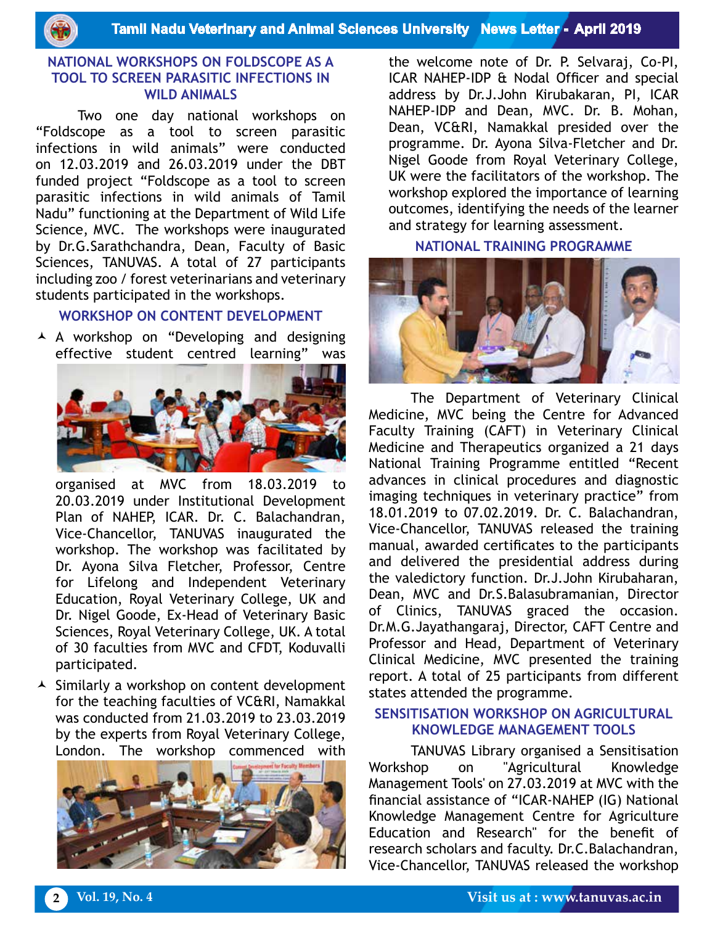**Tamil Nadu Veterinary and Animal Sciences University News Letter - April 2019**

#### **NATIONAL WORKSHOPS ON FOLDSCOPE AS A TOOL TO SCREEN PARASITIC INFECTIONS IN WILD ANIMALS**

Two one day national workshops on "Foldscope as a tool to screen parasitic infections in wild animals" were conducted on 12.03.2019 and 26.03.2019 under the DBT funded project "Foldscope as a tool to screen parasitic infections in wild animals of Tamil Nadu" functioning at the Department of Wild Life Science, MVC. The workshops were inaugurated by Dr.G.Sarathchandra, Dean, Faculty of Basic Sciences, TANUVAS. A total of 27 participants including zoo / forest veterinarians and veterinary students participated in the workshops.

#### **WORKSHOP ON CONTENT DEVELOPMENT**

 A workshop on "Developing and designing effective student centred learning" was



organised at MVC from 18.03.2019 to 20.03.2019 under Institutional Development Plan of NAHEP, ICAR. Dr. C. Balachandran, Vice-Chancellor, TANUVAS inaugurated the workshop. The workshop was facilitated by Dr. Ayona Silva Fletcher, Professor, Centre for Lifelong and Independent Veterinary Education, Royal Veterinary College, UK and Dr. Nigel Goode, Ex-Head of Veterinary Basic Sciences, Royal Veterinary College, UK. A total of 30 faculties from MVC and CFDT, Koduvalli participated.

 $\triangle$  Similarly a workshop on content development for the teaching faculties of VC&RI, Namakkal was conducted from 21.03.2019 to 23.03.2019 by the experts from Royal Veterinary College, London. The workshop commenced with



the welcome note of Dr. P. Selvaraj, Co-PI, ICAR NAHEP-IDP & Nodal Officer and special address by Dr.J.John Kirubakaran, PI, ICAR NAHEP-IDP and Dean, MVC. Dr. B. Mohan, Dean, VC&RI, Namakkal presided over the programme. Dr. Ayona Silva-Fletcher and Dr. Nigel Goode from Royal Veterinary College, UK were the facilitators of the workshop. The workshop explored the importance of learning outcomes, identifying the needs of the learner and strategy for learning assessment.

#### **NATIONAL TRAINING PROGRAMME**



The Department of Veterinary Clinical Medicine, MVC being the Centre for Advanced Faculty Training (CAFT) in Veterinary Clinical Medicine and Therapeutics organized a 21 days National Training Programme entitled "Recent advances in clinical procedures and diagnostic imaging techniques in veterinary practice" from 18.01.2019 to 07.02.2019. Dr. C. Balachandran, Vice-Chancellor, TANUVAS released the training manual, awarded certificates to the participants and delivered the presidential address during the valedictory function. Dr.J.John Kirubaharan, Dean, MVC and Dr.S.Balasubramanian, Director of Clinics, TANUVAS graced the occasion. Dr.M.G.Jayathangaraj, Director, CAFT Centre and Professor and Head, Department of Veterinary Clinical Medicine, MVC presented the training report. A total of 25 participants from different states attended the programme.

### **SENSITISATION WORKSHOP ON AGRICULTURAL KNOWLEDGE MANAGEMENT TOOLS**

TANUVAS Library organised a Sensitisation Workshop on "Agricultural Knowledge Management Tools' on 27.03.2019 at MVC with the financial assistance of "ICAR-NAHEP (IG) National Knowledge Management Centre for Agriculture Education and Research" for the benefit of research scholars and faculty. Dr.C.Balachandran, Vice-Chancellor, TANUVAS released the workshop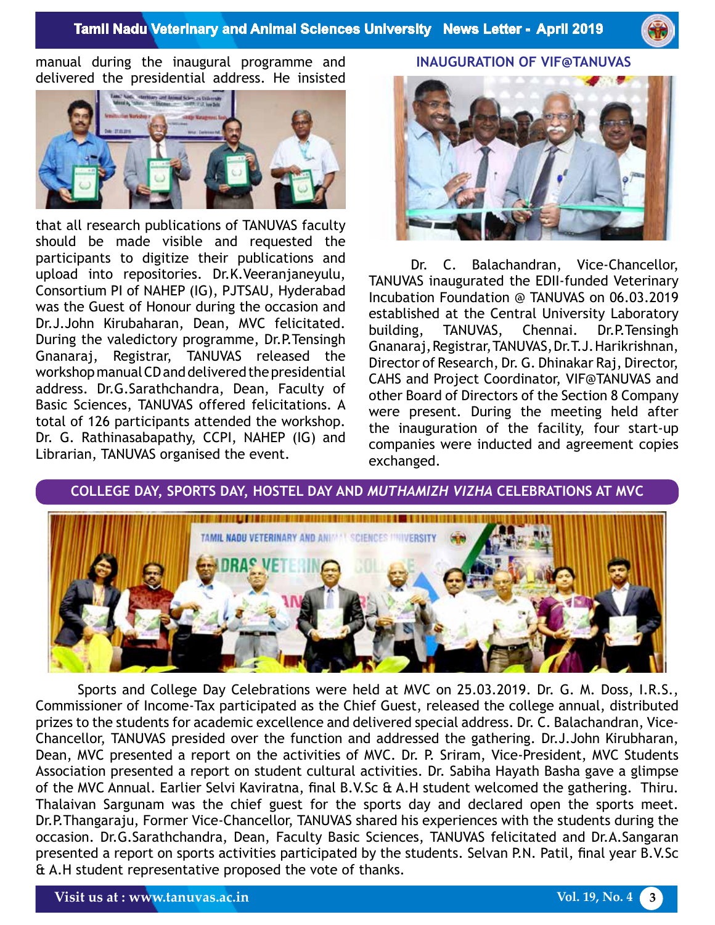

manual during the inaugural programme and delivered the presidential address. He insisted



that all research publications of TANUVAS faculty should be made visible and requested the participants to digitize their publications and upload into repositories. Dr.K.Veeranjaneyulu, Consortium PI of NAHEP (IG), PJTSAU, Hyderabad was the Guest of Honour during the occasion and Dr.J.John Kirubaharan, Dean, MVC felicitated. During the valedictory programme, Dr.P.Tensingh Gnanaraj, Registrar, TANUVAS released the workshop manual CD and delivered the presidential address. Dr.G.Sarathchandra, Dean, Faculty of Basic Sciences, TANUVAS offered felicitations. A total of 126 participants attended the workshop. Dr. G. Rathinasabapathy, CCPI, NAHEP (IG) and Librarian, TANUVAS organised the event.

**INAUGURATION OF VIF@TANUVAS** 



Dr. C. Balachandran, Vice-Chancellor, TANUVAS inaugurated the EDII-funded Veterinary Incubation Foundation @ TANUVAS on 06.03.2019 established at the Central University Laboratory building, TANUVAS, Chennai. Dr.P.Tensingh Gnanaraj, Registrar, TANUVAS, Dr.T.J. Harikrishnan, Director of Research, Dr. G. Dhinakar Raj, Director, CAHS and Project Coordinator, VIF@TANUVAS and other Board of Directors of the Section 8 Company were present. During the meeting held after the inauguration of the facility, four start-up companies were inducted and agreement copies exchanged.

**COLLEGE DAY, SPORTS DAY, HOSTEL DAY AND** *MUTHAMIZH VIZHA* **CELEBRATIONS AT MVC**



Sports and College Day Celebrations were held at MVC on 25.03.2019. Dr. G. M. Doss, I.R.S., Commissioner of Income-Tax participated as the Chief Guest, released the college annual, distributed prizes to the students for academic excellence and delivered special address. Dr. C. Balachandran, Vice-Chancellor, TANUVAS presided over the function and addressed the gathering. Dr.J.John Kirubharan, Dean, MVC presented a report on the activities of MVC. Dr. P. Sriram, Vice-President, MVC Students Association presented a report on student cultural activities. Dr. Sabiha Hayath Basha gave a glimpse of the MVC Annual. Earlier Selvi Kaviratna, final B.V.Sc & A.H student welcomed the gathering. Thiru. Thalaivan Sargunam was the chief guest for the sports day and declared open the sports meet. Dr.P.Thangaraju, Former Vice-Chancellor, TANUVAS shared his experiences with the students during the occasion. Dr.G.Sarathchandra, Dean, Faculty Basic Sciences, TANUVAS felicitated and Dr.A.Sangaran presented a report on sports activities participated by the students. Selvan P.N. Patil, final year B.V.Sc & A.H student representative proposed the vote of thanks.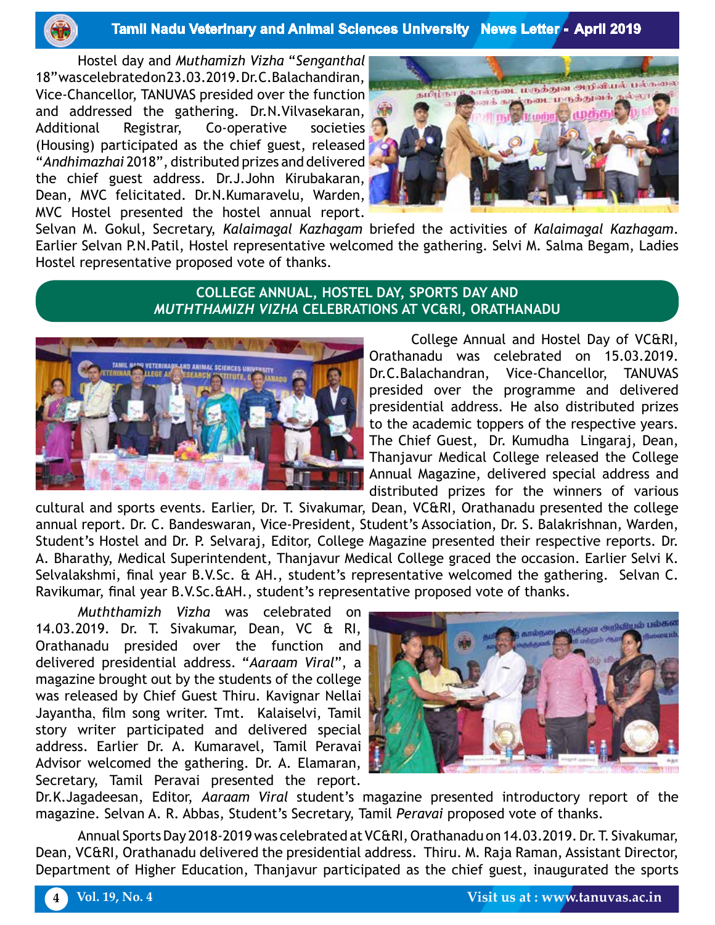

#### **Tamil Nadu Veterinary and Animal Sciences University News Letter - April 2019**

Hostel day and *Muthamizh Vizha* "*Senganthal* 18" was celebrated on 23.03.2019. Dr.C.Balachandiran, Vice-Chancellor, TANUVAS presided over the function and addressed the gathering. Dr.N.Vilvasekaran, Additional Registrar, Co-operative societies (Housing) participated as the chief guest, released "*Andhimazhai* 2018", distributed prizes and delivered the chief guest address. Dr.J.John Kirubakaran, Dean, MVC felicitated. Dr.N.Kumaravelu, Warden, MVC Hostel presented the hostel annual report.



Selvan M. Gokul, Secretary, *Kalaimagal Kazhagam* briefed the activities of *Kalaimagal Kazhagam*. Earlier Selvan P.N.Patil, Hostel representative welcomed the gathering. Selvi M. Salma Begam, Ladies Hostel representative proposed vote of thanks.

#### **COLLEGE ANNUAL, HOSTEL DAY, SPORTS DAY AND**  *MUTHTHAMIZH VIZHA* **CELEBRATIONS AT VC&RI, ORATHANADU**



College Annual and Hostel Day of VC&RI, Orathanadu was celebrated on 15.03.2019. Dr.C.Balachandran, Vice-Chancellor, TANUVAS presided over the programme and delivered presidential address. He also distributed prizes to the academic toppers of the respective years. The Chief Guest, Dr. Kumudha Lingaraj, Dean, Thanjavur Medical College released the College Annual Magazine, delivered special address and distributed prizes for the winners of various

cultural and sports events. Earlier, Dr. T. Sivakumar, Dean, VC&RI, Orathanadu presented the college annual report. Dr. C. Bandeswaran, Vice-President, Student's Association, Dr. S. Balakrishnan, Warden, Student's Hostel and Dr. P. Selvaraj, Editor, College Magazine presented their respective reports. Dr. A. Bharathy, Medical Superintendent, Thanjavur Medical College graced the occasion. Earlier Selvi K. Selvalakshmi, final year B.V.Sc. & AH., student's representative welcomed the gathering. Selvan C. Ravikumar, final year B.V.Sc.&AH., student's representative proposed vote of thanks.

*Muththamizh Vizha* was celebrated on 14.03.2019. Dr. T. Sivakumar, Dean, VC & RI, Orathanadu presided over the function and delivered presidential address. "*Aaraam Viral*", a magazine brought out by the students of the college was released by Chief Guest Thiru. Kavignar Nellai Jayantha, film song writer. Tmt. Kalaiselvi, Tamil story writer participated and delivered special address. Earlier Dr. A. Kumaravel, Tamil Peravai Advisor welcomed the gathering. Dr. A. Elamaran, Secretary, Tamil Peravai presented the report.



Dr.K.Jagadeesan, Editor, *Aaraam Viral* student's magazine presented introductory report of the magazine. Selvan A. R. Abbas, Student's Secretary, Tamil *Peravai* proposed vote of thanks.

Annual Sports Day 2018-2019 was celebrated at VC&RI, Orathanadu on 14.03.2019. Dr. T. Sivakumar, Dean, VC&RI, Orathanadu delivered the presidential address. Thiru. M. Raja Raman, Assistant Director, Department of Higher Education, Thanjavur participated as the chief guest, inaugurated the sports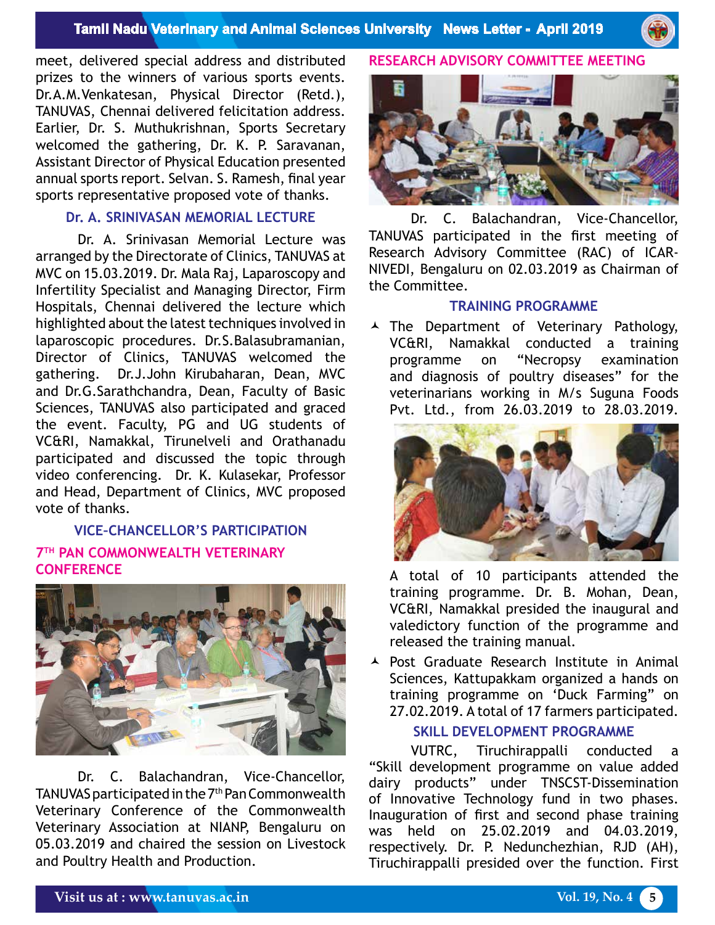

meet, delivered special address and distributed prizes to the winners of various sports events. Dr.A.M.Venkatesan, Physical Director (Retd.), TANUVAS, Chennai delivered felicitation address. Earlier, Dr. S. Muthukrishnan, Sports Secretary welcomed the gathering, Dr. K. P. Saravanan, Assistant Director of Physical Education presented annual sports report. Selvan. S. Ramesh, final year sports representative proposed vote of thanks.

## **Dr. A. SRINIVASAN MEMORIAL LECTURE**

Dr. A. Srinivasan Memorial Lecture was arranged by the Directorate of Clinics, TANUVAS at MVC on 15.03.2019. Dr. Mala Raj, Laparoscopy and Infertility Specialist and Managing Director, Firm Hospitals, Chennai delivered the lecture which highlighted about the latest techniques involved in laparoscopic procedures. Dr.S.Balasubramanian, Director of Clinics, TANUVAS welcomed the gathering. Dr.J.John Kirubaharan, Dean, MVC and Dr.G.Sarathchandra, Dean, Faculty of Basic Sciences, TANUVAS also participated and graced the event. Faculty, PG and UG students of VC&RI, Namakkal, Tirunelveli and Orathanadu participated and discussed the topic through video conferencing. Dr. K. Kulasekar, Professor and Head, Department of Clinics, MVC proposed vote of thanks.

# **VICE–CHANCELLOR'S PARTICIPATION 7TH PAN COMMONWEALTH VETERINARY CONFERENCE**



Dr. C. Balachandran, Vice-Chancellor, TANUVAS participated in the 7<sup>th</sup> Pan Commonwealth Veterinary Conference of the Commonwealth Veterinary Association at NIANP, Bengaluru on 05.03.2019 and chaired the session on Livestock and Poultry Health and Production.

## **Research Advisory Committee Meeting**



Dr. C. Balachandran, Vice-Chancellor, TANUVAS participated in the first meeting of Research Advisory Committee (RAC) of ICAR-NIVEDI, Bengaluru on 02.03.2019 as Chairman of the Committee.

#### **TRAINING PROGRAMME**

A The Department of Veterinary Pathology, VC&RI, Namakkal conducted a training programme on "Necropsy examination and diagnosis of poultry diseases" for the veterinarians working in M/s Suguna Foods Pvt. Ltd., from 26.03.2019 to 28.03.2019.



A total of 10 participants attended the training programme. Dr. B. Mohan, Dean, VC&RI, Namakkal presided the inaugural and valedictory function of the programme and released the training manual.

 Post Graduate Research Institute in Animal Sciences, Kattupakkam organized a hands on training programme on 'Duck Farming" on 27.02.2019. A total of 17 farmers participated.

#### **SKILL DEVELOPMENT PROGRAMME**

VUTRC, Tiruchirappalli conducted a "Skill development programme on value added dairy products" under TNSCST-Dissemination of Innovative Technology fund in two phases. Inauguration of first and second phase training was held on 25.02.2019 and 04.03.2019, respectively. Dr. P. Nedunchezhian, RJD (AH), Tiruchirappalli presided over the function. First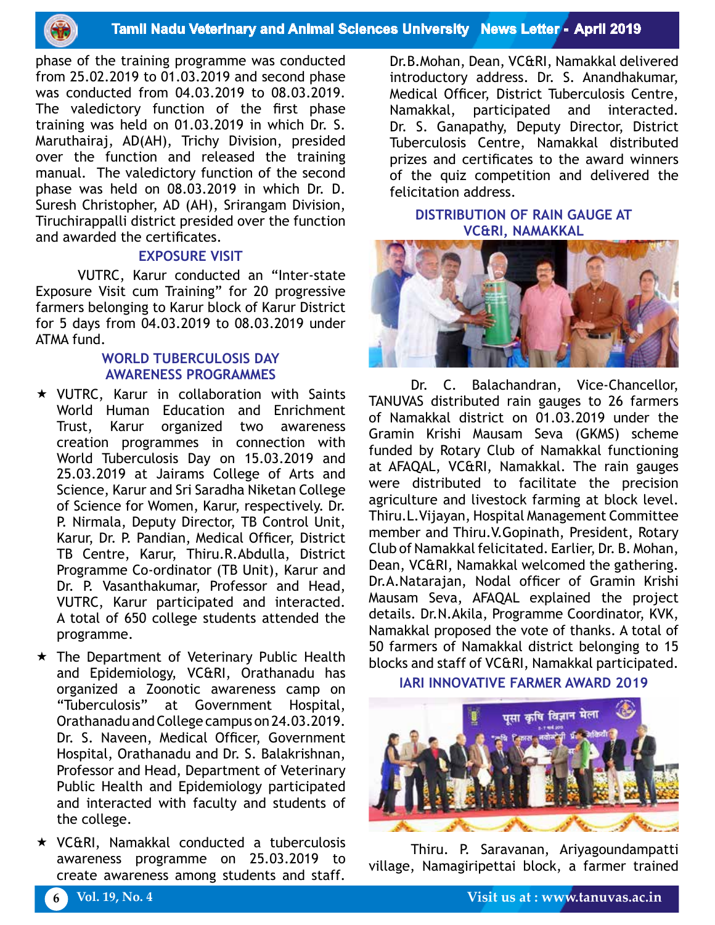

phase of the training programme was conducted from 25.02.2019 to 01.03.2019 and second phase was conducted from 04.03.2019 to 08.03.2019. The valedictory function of the first phase training was held on 01.03.2019 in which Dr. S. Maruthairaj, AD(AH), Trichy Division, presided over the function and released the training manual. The valedictory function of the second phase was held on 08.03.2019 in which Dr. D. Suresh Christopher, AD (AH), Srirangam Division, Tiruchirappalli district presided over the function and awarded the certificates.

#### **EXPOSURE VISIT**

VUTRC, Karur conducted an "Inter-state Exposure Visit cum Training" for 20 progressive farmers belonging to Karur block of Karur District for 5 days from 04.03.2019 to 08.03.2019 under ATMA fund.

#### **WORLD TUBERCULOSIS DAY AWARENESS PROGRAMMES**

- VUTRC, Karur in collaboration with Saints World Human Education and Enrichment Trust, Karur organized two awareness creation programmes in connection with World Tuberculosis Day on 15.03.2019 and 25.03.2019 at Jairams College of Arts and Science, Karur and Sri Saradha Niketan College of Science for Women, Karur, respectively. Dr. P. Nirmala, Deputy Director, TB Control Unit, Karur, Dr. P. Pandian, Medical Officer, District TB Centre, Karur, Thiru.R.Abdulla, District Programme Co-ordinator (TB Unit), Karur and Dr. P. Vasanthakumar, Professor and Head, VUTRC, Karur participated and interacted. A total of 650 college students attended the programme.
- $\star$  The Department of Veterinary Public Health and Epidemiology, VC&RI, Orathanadu has organized a Zoonotic awareness camp on "Tuberculosis" at Government Hospital, Orathanadu and College campus on 24.03.2019. Dr. S. Naveen, Medical Officer, Government Hospital, Orathanadu and Dr. S. Balakrishnan, Professor and Head, Department of Veterinary Public Health and Epidemiology participated and interacted with faculty and students of the college.
- VC&RI, Namakkal conducted a tuberculosis awareness programme on 25.03.2019 to create awareness among students and staff.

Dr.B.Mohan, Dean, VC&RI, Namakkal delivered introductory address. Dr. S. Anandhakumar, Medical Officer, District Tuberculosis Centre, Namakkal, participated and interacted. Dr. S. Ganapathy, Deputy Director, District Tuberculosis Centre, Namakkal distributed prizes and certificates to the award winners of the quiz competition and delivered the felicitation address.

**DISTRIBUTION OF RAIN GAUGE AT VC&RI, NAMAKKAL**



Dr. C. Balachandran, Vice-Chancellor, TANUVAS distributed rain gauges to 26 farmers of Namakkal district on 01.03.2019 under the Gramin Krishi Mausam Seva (GKMS) scheme funded by Rotary Club of Namakkal functioning at AFAQAL, VC&RI, Namakkal. The rain gauges were distributed to facilitate the precision agriculture and livestock farming at block level. Thiru.L.Vijayan, Hospital Management Committee member and Thiru.V.Gopinath, President, Rotary Club of Namakkal felicitated. Earlier, Dr. B. Mohan, Dean, VC&RI, Namakkal welcomed the gathering. Dr.A.Natarajan, Nodal officer of Gramin Krishi Mausam Seva, AFAQAL explained the project details. Dr.N.Akila, Programme Coordinator, KVK, Namakkal proposed the vote of thanks. A total of 50 farmers of Namakkal district belonging to 15 blocks and staff of VC&RI, Namakkal participated.

**IARI INNOVATIVE FARMER AWARD 2019**



Thiru. P. Saravanan, Ariyagoundampatti village, Namagiripettai block, a farmer trained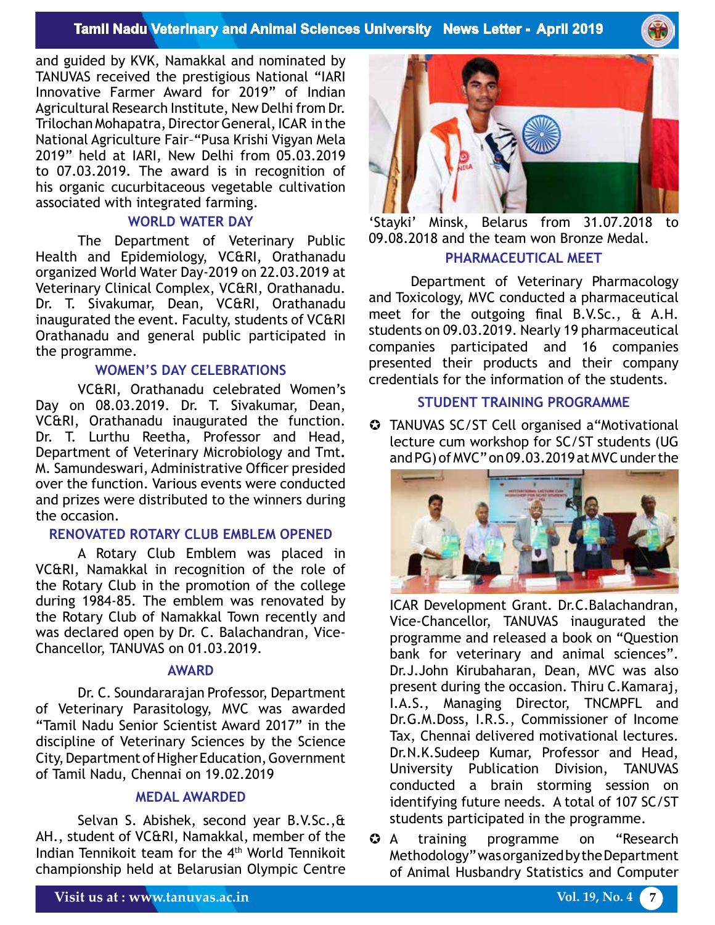## **Tamil Nadu Veterinary and Animal Sciences University News Letter - April 2019**

and guided by KVK, Namakkal and nominated by TANUVAS received the prestigious National "IARI Innovative Farmer Award for 2019" of Indian Agricultural Research Institute, New Delhi from Dr. Trilochan Mohapatra, Director General, ICAR in the National Agriculture Fair–"Pusa Krishi Vigyan Mela 2019" held at IARI, New Delhi from 05.03.2019 to 07.03.2019. The award is in recognition of his organic cucurbitaceous vegetable cultivation associated with integrated farming.

#### **WORLD WATER DAY**

The Department of Veterinary Public Health and Epidemiology, VC&RI, Orathanadu organized World Water Day-2019 on 22.03.2019 at Veterinary Clinical Complex, VC&RI, Orathanadu. Dr. T. Sivakumar, Dean, VC&RI, Orathanadu inaugurated the event. Faculty, students of VC&RI Orathanadu and general public participated in the programme.

#### **WOMEN'S DAY CELEBRATIONS**

VC&RI, Orathanadu celebrated Women's Day on 08.03.2019. Dr. T. Sivakumar, Dean, VC&RI, Orathanadu inaugurated the function. Dr. T. Lurthu Reetha, Professor and Head, Department of Veterinary Microbiology and Tmt**.**  M. Samundeswari, Administrative Officer presided over the function. Various events were conducted and prizes were distributed to the winners during the occasion.

#### **RENOVATED ROTARY CLUB EMBLEM OPENED**

A Rotary Club Emblem was placed in VC&RI, Namakkal in recognition of the role of the Rotary Club in the promotion of the college during 1984-85. The emblem was renovated by the Rotary Club of Namakkal Town recently and was declared open by Dr. C. Balachandran, Vice-Chancellor, TANUVAS on 01.03.2019.

#### **AWARD**

Dr. C. Soundararajan Professor, Department of Veterinary Parasitology, MVC was awarded "Tamil Nadu Senior Scientist Award 2017" in the discipline of Veterinary Sciences by the Science City, Department of Higher Education, Government of Tamil Nadu, Chennai on 19.02.2019

#### **MEDAL AWARDED**

Selvan S. Abishek, second year B.V.Sc.,& AH., student of VC&RI, Namakkal, member of the Indian Tennikoit team for the 4th World Tennikoit championship held at Belarusian Olympic Centre



'Stayki' Minsk, Belarus from 31.07.2018 to 09.08.2018 and the team won Bronze Medal.

# **PHARMACEUTICAL MEET**

Department of Veterinary Pharmacology and Toxicology, MVC conducted a pharmaceutical meet for the outgoing final B.V.Sc., & A.H. students on 09.03.2019. Nearly 19 pharmaceutical companies participated and 16 companies presented their products and their company credentials for the information of the students.

#### **STUDENT TRAINING PROGRAMME**

 TANUVAS SC/ST Cell organised a"Motivational lecture cum workshop for SC/ST students (UG and PG) of MVC" on 09.03.2019 at MVC under the



ICAR Development Grant. Dr.C.Balachandran, Vice-Chancellor, TANUVAS inaugurated the programme and released a book on "Question bank for veterinary and animal sciences". Dr.J.John Kirubaharan, Dean, MVC was also present during the occasion. Thiru C.Kamaraj, I.A.S., Managing Director, TNCMPFL and Dr.G.M.Doss, I.R.S., Commissioner of Income Tax, Chennai delivered motivational lectures. Dr.N.K.Sudeep Kumar, Professor and Head, University Publication Division, TANUVAS conducted a brain storming session on identifying future needs. A total of 107 SC/ST students participated in the programme.

 A training programme on "Research Methodology" was organized by the Department of Animal Husbandry Statistics and Computer